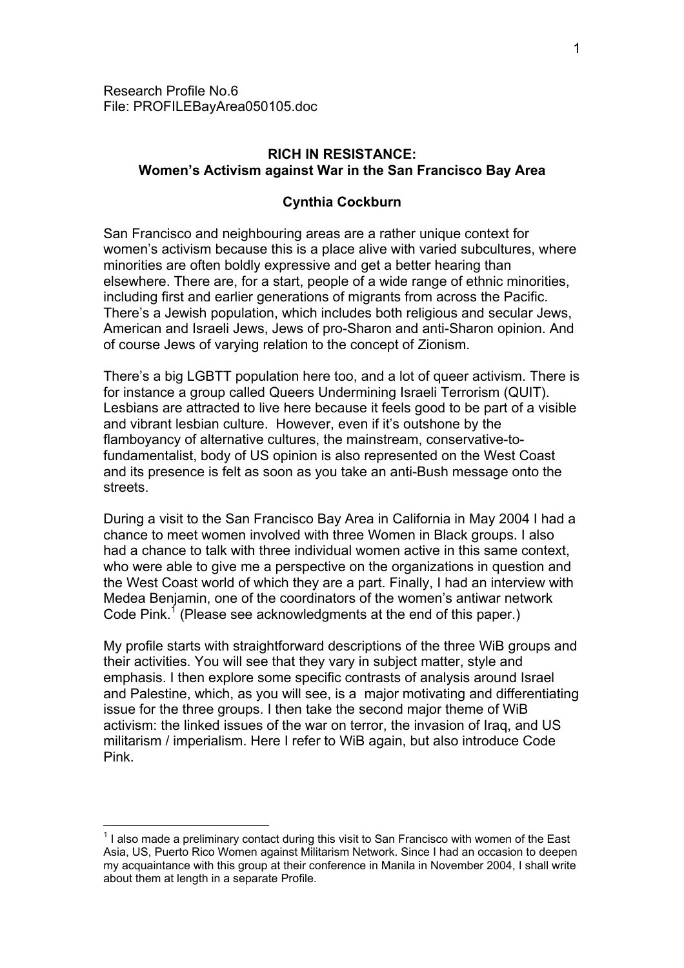# **RICH IN RESISTANCE: Women's Activism against War in the San Francisco Bay Area**

## **Cynthia Cockburn**

San Francisco and neighbouring areas are a rather unique context for women's activism because this is a place alive with varied subcultures, where minorities are often boldly expressive and get a better hearing than elsewhere. There are, for a start, people of a wide range of ethnic minorities, including first and earlier generations of migrants from across the Pacific. There's a Jewish population, which includes both religious and secular Jews, American and Israeli Jews, Jews of pro-Sharon and anti-Sharon opinion. And of course Jews of varying relation to the concept of Zionism.

There's a big LGBTT population here too, and a lot of queer activism. There is for instance a group called Queers Undermining Israeli Terrorism (QUIT). Lesbians are attracted to live here because it feels good to be part of a visible and vibrant lesbian culture. However, even if it's outshone by the flamboyancy of alternative cultures, the mainstream, conservative-tofundamentalist, body of US opinion is also represented on the West Coast and its presence is felt as soon as you take an anti-Bush message onto the streets.

During a visit to the San Francisco Bay Area in California in May 2004 I had a chance to meet women involved with three Women in Black groups. I also had a chance to talk with three individual women active in this same context, who were able to give me a perspective on the organizations in question and the West Coast world of which they are a part. Finally, I had an interview with Medea Benjamin, one of the coordinators of the women's antiwar network Code Pink.<sup>[1](#page-0-0)</sup> (Please see acknowledgments at the end of this paper.)

My profile starts with straightforward descriptions of the three WiB groups and their activities. You will see that they vary in subject matter, style and emphasis. I then explore some specific contrasts of analysis around Israel and Palestine, which, as you will see, is a major motivating and differentiating issue for the three groups. I then take the second major theme of WiB activism: the linked issues of the war on terror, the invasion of Iraq, and US militarism / imperialism. Here I refer to WiB again, but also introduce Code Pink.

 $\overline{a}$ 

<span id="page-0-0"></span> $1$  I also made a preliminary contact during this visit to San Francisco with women of the East Asia, US, Puerto Rico Women against Militarism Network. Since I had an occasion to deepen my acquaintance with this group at their conference in Manila in November 2004, I shall write about them at length in a separate Profile.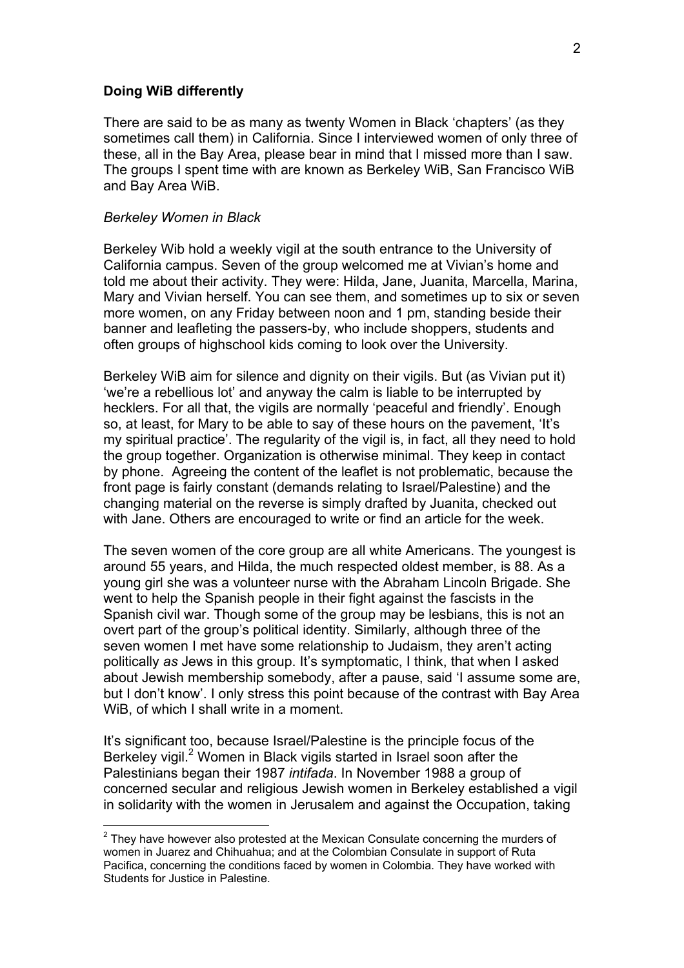#### **Doing WiB differently**

There are said to be as many as twenty Women in Black 'chapters' (as they sometimes call them) in California. Since I interviewed women of only three of these, all in the Bay Area, please bear in mind that I missed more than I saw. The groups I spent time with are known as Berkeley WiB, San Francisco WiB and Bay Area WiB.

#### *Berkeley Women in Black*

Berkeley Wib hold a weekly vigil at the south entrance to the University of California campus. Seven of the group welcomed me at Vivian's home and told me about their activity. They were: Hilda, Jane, Juanita, Marcella, Marina, Mary and Vivian herself. You can see them, and sometimes up to six or seven more women, on any Friday between noon and 1 pm, standing beside their banner and leafleting the passers-by, who include shoppers, students and often groups of highschool kids coming to look over the University.

Berkeley WiB aim for silence and dignity on their vigils. But (as Vivian put it) 'we're a rebellious lot' and anyway the calm is liable to be interrupted by hecklers. For all that, the vigils are normally 'peaceful and friendly'. Enough so, at least, for Mary to be able to say of these hours on the pavement, 'It's my spiritual practice'. The regularity of the vigil is, in fact, all they need to hold the group together. Organization is otherwise minimal. They keep in contact by phone. Agreeing the content of the leaflet is not problematic, because the front page is fairly constant (demands relating to Israel/Palestine) and the changing material on the reverse is simply drafted by Juanita, checked out with Jane. Others are encouraged to write or find an article for the week.

The seven women of the core group are all white Americans. The youngest is around 55 years, and Hilda, the much respected oldest member, is 88. As a young girl she was a volunteer nurse with the Abraham Lincoln Brigade. She went to help the Spanish people in their fight against the fascists in the Spanish civil war. Though some of the group may be lesbians, this is not an overt part of the group's political identity. Similarly, although three of the seven women I met have some relationship to Judaism, they aren't acting politically *as* Jews in this group. It's symptomatic, I think, that when I asked about Jewish membership somebody, after a pause, said 'I assume some are, but I don't know'. I only stress this point because of the contrast with Bay Area WiB, of which I shall write in a moment.

It's significant too, because Israel/Palestine is the principle focus of the Berkeley vigil.<sup>[2](#page-1-0)</sup> Women in Black vigils started in Israel soon after the Palestinians began their 1987 *intifada*. In November 1988 a group of concerned secular and religious Jewish women in Berkeley established a vigil in solidarity with the women in Jerusalem and against the Occupation, taking

<span id="page-1-0"></span><sup>&</sup>lt;u>2</u><br><sup>2</sup> They have however also protested at the Mexican Consulate concerning the murders of women in Juarez and Chihuahua; and at the Colombian Consulate in support of Ruta Pacifica, concerning the conditions faced by women in Colombia. They have worked with Students for Justice in Palestine.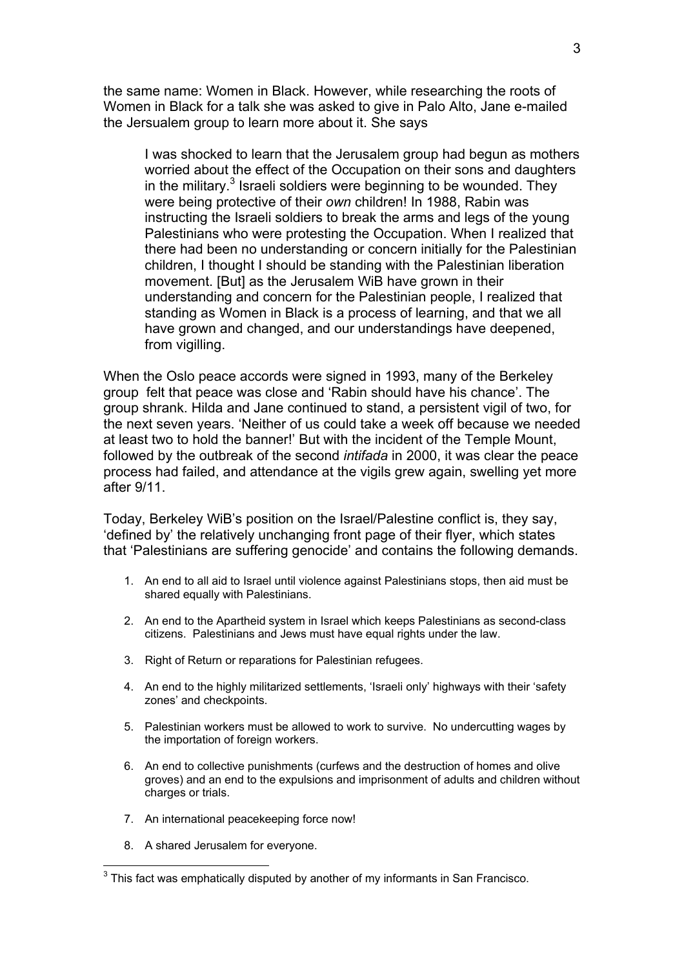the same name: Women in Black. However, while researching the roots of Women in Black for a talk she was asked to give in Palo Alto, Jane e-mailed the Jersualem group to learn more about it. She says

I was shocked to learn that the Jerusalem group had begun as mothers worried about the effect of the Occupation on their sons and daughters in the military. $3$  Israeli soldiers were beginning to be wounded. They were being protective of their *own* children! In 1988, Rabin was instructing the Israeli soldiers to break the arms and legs of the young Palestinians who were protesting the Occupation. When I realized that there had been no understanding or concern initially for the Palestinian children, I thought I should be standing with the Palestinian liberation movement. [But] as the Jerusalem WiB have grown in their understanding and concern for the Palestinian people, I realized that standing as Women in Black is a process of learning, and that we all have grown and changed, and our understandings have deepened, from vigilling.

When the Oslo peace accords were signed in 1993, many of the Berkeley group felt that peace was close and 'Rabin should have his chance'. The group shrank. Hilda and Jane continued to stand, a persistent vigil of two, for the next seven years. 'Neither of us could take a week off because we needed at least two to hold the banner!' But with the incident of the Temple Mount, followed by the outbreak of the second *intifada* in 2000, it was clear the peace process had failed, and attendance at the vigils grew again, swelling yet more after 9/11.

Today, Berkeley WiB's position on the Israel/Palestine conflict is, they say, 'defined by' the relatively unchanging front page of their flyer, which states that 'Palestinians are suffering genocide' and contains the following demands.

- 1. An end to all aid to Israel until violence against Palestinians stops, then aid must be shared equally with Palestinians.
- 2. An end to the Apartheid system in Israel which keeps Palestinians as second-class citizens. Palestinians and Jews must have equal rights under the law.
- 3. Right of Return or reparations for Palestinian refugees.
- 4. An end to the highly militarized settlements, 'Israeli only' highways with their 'safety zones' and checkpoints.
- 5. Palestinian workers must be allowed to work to survive. No undercutting wages by the importation of foreign workers.
- 6. An end to collective punishments (curfews and the destruction of homes and olive groves) and an end to the expulsions and imprisonment of adults and children without charges or trials.
- 7. An international peacekeeping force now!
- 8. A shared Jerusalem for everyone.

<span id="page-2-0"></span> 3 This fact was emphatically disputed by another of my informants in San Francisco.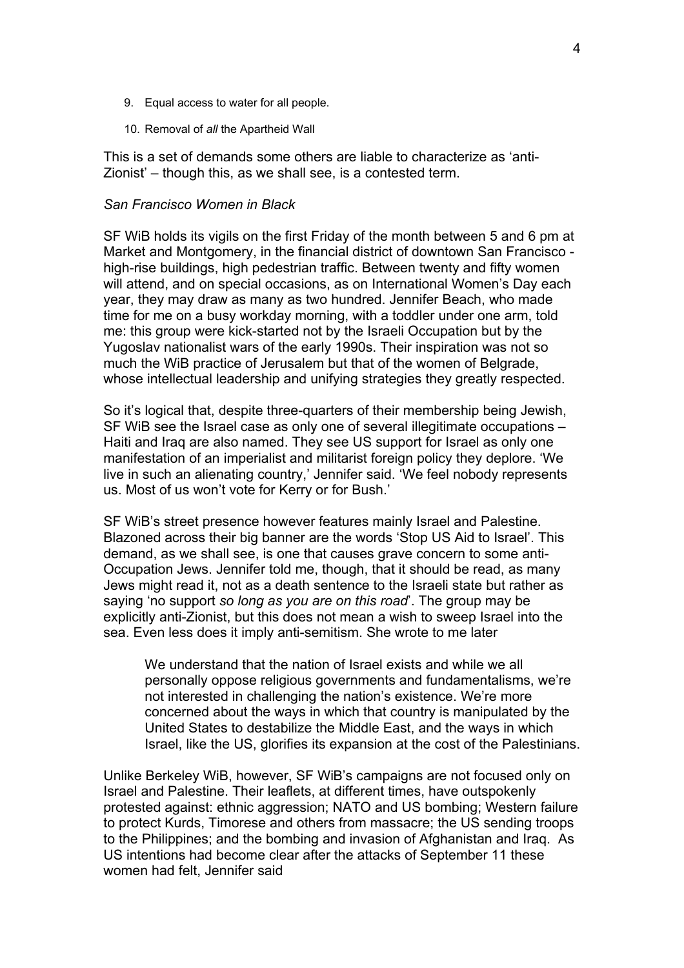- 9. Equal access to water for all people.
- 10. Removal of *all* the Apartheid Wall

This is a set of demands some others are liable to characterize as 'anti-Zionist' – though this, as we shall see, is a contested term.

#### *San Francisco Women in Black*

SF WiB holds its vigils on the first Friday of the month between 5 and 6 pm at Market and Montgomery, in the financial district of downtown San Francisco high-rise buildings, high pedestrian traffic. Between twenty and fifty women will attend, and on special occasions, as on International Women's Day each year, they may draw as many as two hundred. Jennifer Beach, who made time for me on a busy workday morning, with a toddler under one arm, told me: this group were kick-started not by the Israeli Occupation but by the Yugoslav nationalist wars of the early 1990s. Their inspiration was not so much the WiB practice of Jerusalem but that of the women of Belgrade, whose intellectual leadership and unifying strategies they greatly respected.

So it's logical that, despite three-quarters of their membership being Jewish, SF WiB see the Israel case as only one of several illegitimate occupations – Haiti and Iraq are also named. They see US support for Israel as only one manifestation of an imperialist and militarist foreign policy they deplore. 'We live in such an alienating country,' Jennifer said. 'We feel nobody represents us. Most of us won't vote for Kerry or for Bush.'

SF WiB's street presence however features mainly Israel and Palestine. Blazoned across their big banner are the words 'Stop US Aid to Israel'. This demand, as we shall see, is one that causes grave concern to some anti-Occupation Jews. Jennifer told me, though, that it should be read, as many Jews might read it, not as a death sentence to the Israeli state but rather as saying 'no support *so long as you are on this road*'. The group may be explicitly anti-Zionist, but this does not mean a wish to sweep Israel into the sea. Even less does it imply anti-semitism. She wrote to me later

We understand that the nation of Israel exists and while we all personally oppose religious governments and fundamentalisms, we're not interested in challenging the nation's existence. We're more concerned about the ways in which that country is manipulated by the United States to destabilize the Middle East, and the ways in which Israel, like the US, glorifies its expansion at the cost of the Palestinians.

Unlike Berkeley WiB, however, SF WiB's campaigns are not focused only on Israel and Palestine. Their leaflets, at different times, have outspokenly protested against: ethnic aggression; NATO and US bombing; Western failure to protect Kurds, Timorese and others from massacre; the US sending troops to the Philippines; and the bombing and invasion of Afghanistan and Iraq. As US intentions had become clear after the attacks of September 11 these women had felt, Jennifer said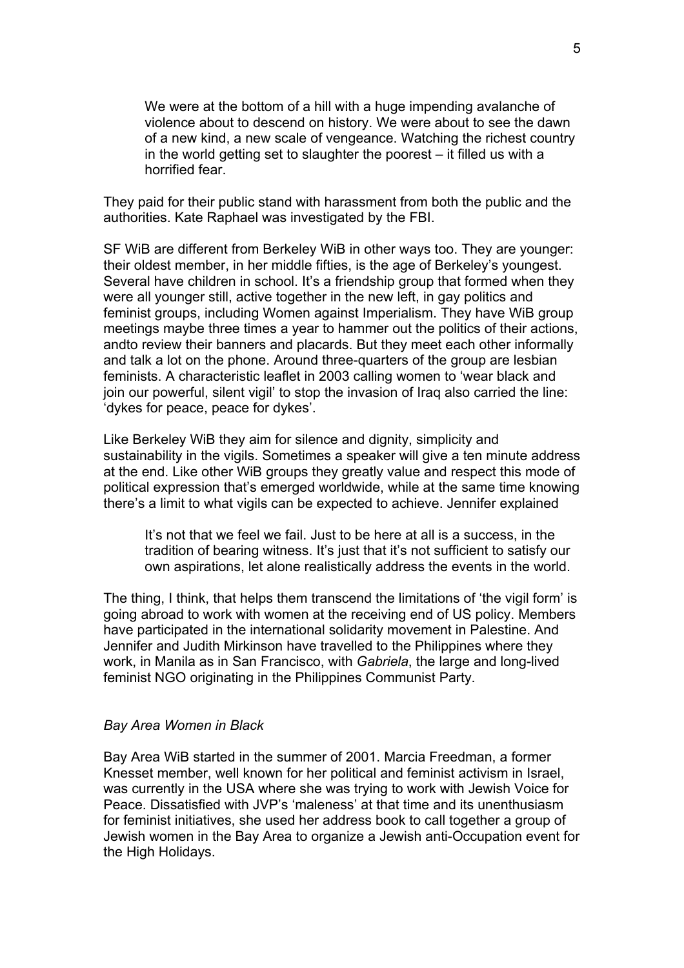We were at the bottom of a hill with a huge impending avalanche of violence about to descend on history. We were about to see the dawn of a new kind, a new scale of vengeance. Watching the richest country in the world getting set to slaughter the poorest – it filled us with a horrified fear.

They paid for their public stand with harassment from both the public and the authorities. Kate Raphael was investigated by the FBI.

SF WiB are different from Berkeley WiB in other ways too. They are younger: their oldest member, in her middle fifties, is the age of Berkeley's youngest. Several have children in school. It's a friendship group that formed when they were all younger still, active together in the new left, in gay politics and feminist groups, including Women against Imperialism. They have WiB group meetings maybe three times a year to hammer out the politics of their actions, andto review their banners and placards. But they meet each other informally and talk a lot on the phone. Around three-quarters of the group are lesbian feminists. A characteristic leaflet in 2003 calling women to 'wear black and join our powerful, silent vigil' to stop the invasion of Iraq also carried the line: 'dykes for peace, peace for dykes'.

Like Berkeley WiB they aim for silence and dignity, simplicity and sustainability in the vigils. Sometimes a speaker will give a ten minute address at the end. Like other WiB groups they greatly value and respect this mode of political expression that's emerged worldwide, while at the same time knowing there's a limit to what vigils can be expected to achieve. Jennifer explained

It's not that we feel we fail. Just to be here at all is a success, in the tradition of bearing witness. It's just that it's not sufficient to satisfy our own aspirations, let alone realistically address the events in the world.

The thing, I think, that helps them transcend the limitations of 'the vigil form' is going abroad to work with women at the receiving end of US policy. Members have participated in the international solidarity movement in Palestine. And Jennifer and Judith Mirkinson have travelled to the Philippines where they work, in Manila as in San Francisco, with *Gabriela*, the large and long-lived feminist NGO originating in the Philippines Communist Party.

#### *Bay Area Women in Black*

Bay Area WiB started in the summer of 2001. Marcia Freedman, a former Knesset member, well known for her political and feminist activism in Israel, was currently in the USA where she was trying to work with Jewish Voice for Peace. Dissatisfied with JVP's 'maleness' at that time and its unenthusiasm for feminist initiatives, she used her address book to call together a group of Jewish women in the Bay Area to organize a Jewish anti-Occupation event for the High Holidays.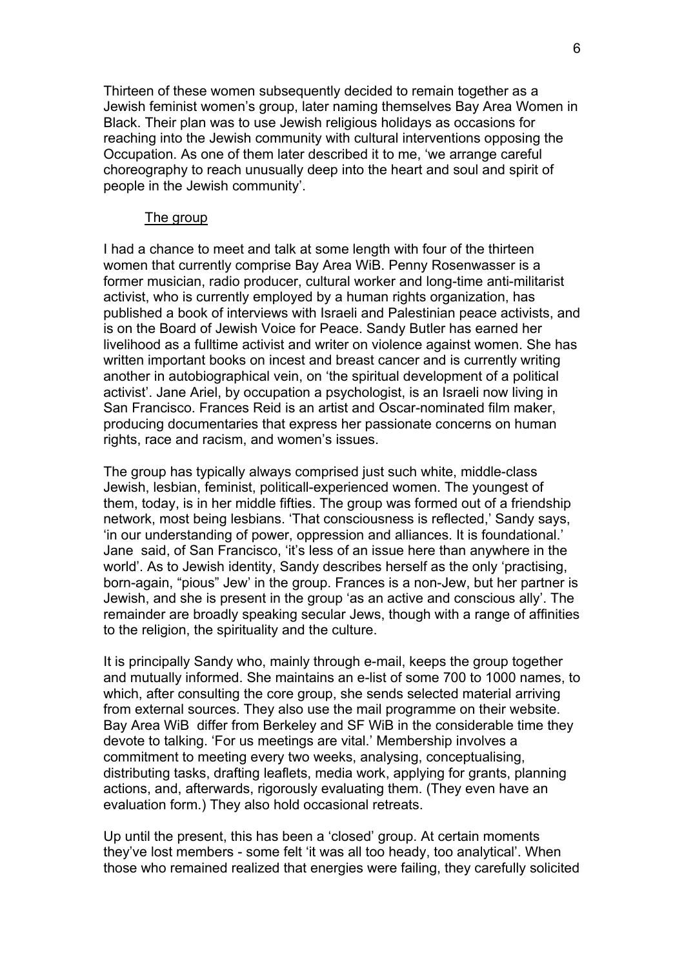Thirteen of these women subsequently decided to remain together as a Jewish feminist women's group, later naming themselves Bay Area Women in Black. Their plan was to use Jewish religious holidays as occasions for reaching into the Jewish community with cultural interventions opposing the Occupation. As one of them later described it to me, 'we arrange careful choreography to reach unusually deep into the heart and soul and spirit of people in the Jewish community'.

### The group

I had a chance to meet and talk at some length with four of the thirteen women that currently comprise Bay Area WiB. Penny Rosenwasser is a former musician, radio producer, cultural worker and long-time anti-militarist activist, who is currently employed by a human rights organization, has published a book of interviews with Israeli and Palestinian peace activists, and is on the Board of Jewish Voice for Peace. Sandy Butler has earned her livelihood as a fulltime activist and writer on violence against women. She has written important books on incest and breast cancer and is currently writing another in autobiographical vein, on 'the spiritual development of a political activist'. Jane Ariel, by occupation a psychologist, is an Israeli now living in San Francisco. Frances Reid is an artist and Oscar-nominated film maker, producing documentaries that express her passionate concerns on human rights, race and racism, and women's issues.

The group has typically always comprised just such white, middle-class Jewish, lesbian, feminist, politicall-experienced women. The youngest of them, today, is in her middle fifties. The group was formed out of a friendship network, most being lesbians. 'That consciousness is reflected,' Sandy says, 'in our understanding of power, oppression and alliances. It is foundational.' Jane said, of San Francisco, 'it's less of an issue here than anywhere in the world'. As to Jewish identity, Sandy describes herself as the only 'practising, born-again, "pious" Jew' in the group. Frances is a non-Jew, but her partner is Jewish, and she is present in the group 'as an active and conscious ally'. The remainder are broadly speaking secular Jews, though with a range of affinities to the religion, the spirituality and the culture.

It is principally Sandy who, mainly through e-mail, keeps the group together and mutually informed. She maintains an e-list of some 700 to 1000 names, to which, after consulting the core group, she sends selected material arriving from external sources. They also use the mail programme on their website. Bay Area WiB differ from Berkeley and SF WiB in the considerable time they devote to talking. 'For us meetings are vital.' Membership involves a commitment to meeting every two weeks, analysing, conceptualising, distributing tasks, drafting leaflets, media work, applying for grants, planning actions, and, afterwards, rigorously evaluating them. (They even have an evaluation form.) They also hold occasional retreats.

Up until the present, this has been a 'closed' group. At certain moments they've lost members - some felt 'it was all too heady, too analytical'. When those who remained realized that energies were failing, they carefully solicited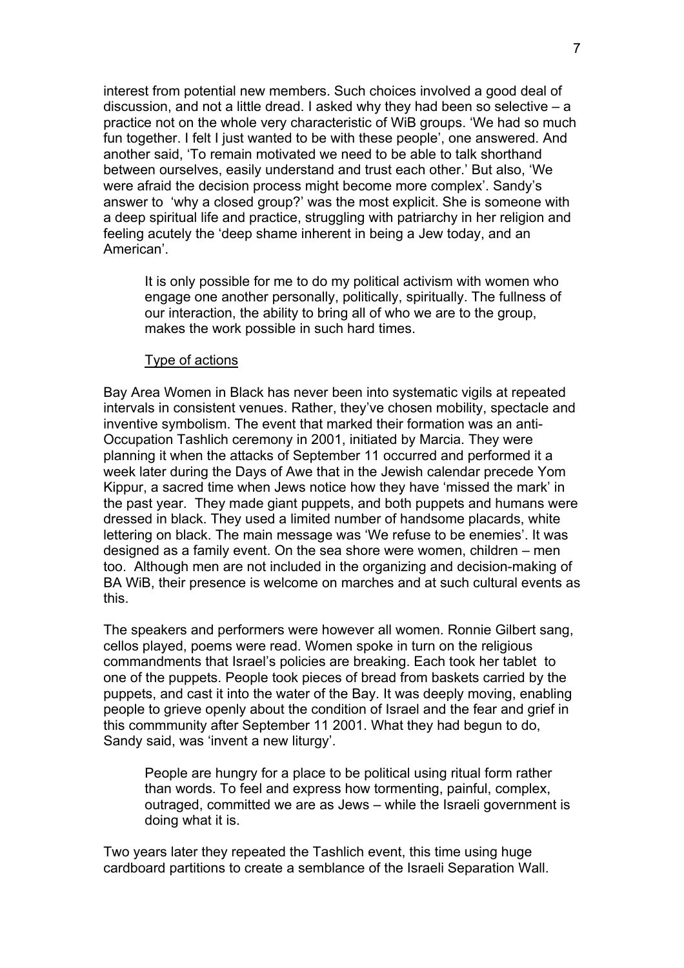interest from potential new members. Such choices involved a good deal of discussion, and not a little dread. I asked why they had been so selective – a practice not on the whole very characteristic of WiB groups. 'We had so much fun together. I felt I just wanted to be with these people', one answered. And another said, 'To remain motivated we need to be able to talk shorthand between ourselves, easily understand and trust each other.' But also, 'We were afraid the decision process might become more complex'. Sandy's answer to 'why a closed group?' was the most explicit. She is someone with a deep spiritual life and practice, struggling with patriarchy in her religion and feeling acutely the 'deep shame inherent in being a Jew today, and an American'.

It is only possible for me to do my political activism with women who engage one another personally, politically, spiritually. The fullness of our interaction, the ability to bring all of who we are to the group, makes the work possible in such hard times.

### Type of actions

Bay Area Women in Black has never been into systematic vigils at repeated intervals in consistent venues. Rather, they've chosen mobility, spectacle and inventive symbolism. The event that marked their formation was an anti-Occupation Tashlich ceremony in 2001, initiated by Marcia. They were planning it when the attacks of September 11 occurred and performed it a week later during the Days of Awe that in the Jewish calendar precede Yom Kippur, a sacred time when Jews notice how they have 'missed the mark' in the past year. They made giant puppets, and both puppets and humans were dressed in black. They used a limited number of handsome placards, white lettering on black. The main message was 'We refuse to be enemies'. It was designed as a family event. On the sea shore were women, children – men too. Although men are not included in the organizing and decision-making of BA WiB, their presence is welcome on marches and at such cultural events as this.

The speakers and performers were however all women. Ronnie Gilbert sang, cellos played, poems were read. Women spoke in turn on the religious commandments that Israel's policies are breaking. Each took her tablet to one of the puppets. People took pieces of bread from baskets carried by the puppets, and cast it into the water of the Bay. It was deeply moving, enabling people to grieve openly about the condition of Israel and the fear and grief in this commmunity after September 11 2001. What they had begun to do, Sandy said, was 'invent a new liturgy'.

People are hungry for a place to be political using ritual form rather than words. To feel and express how tormenting, painful, complex, outraged, committed we are as Jews – while the Israeli government is doing what it is.

Two years later they repeated the Tashlich event, this time using huge cardboard partitions to create a semblance of the Israeli Separation Wall.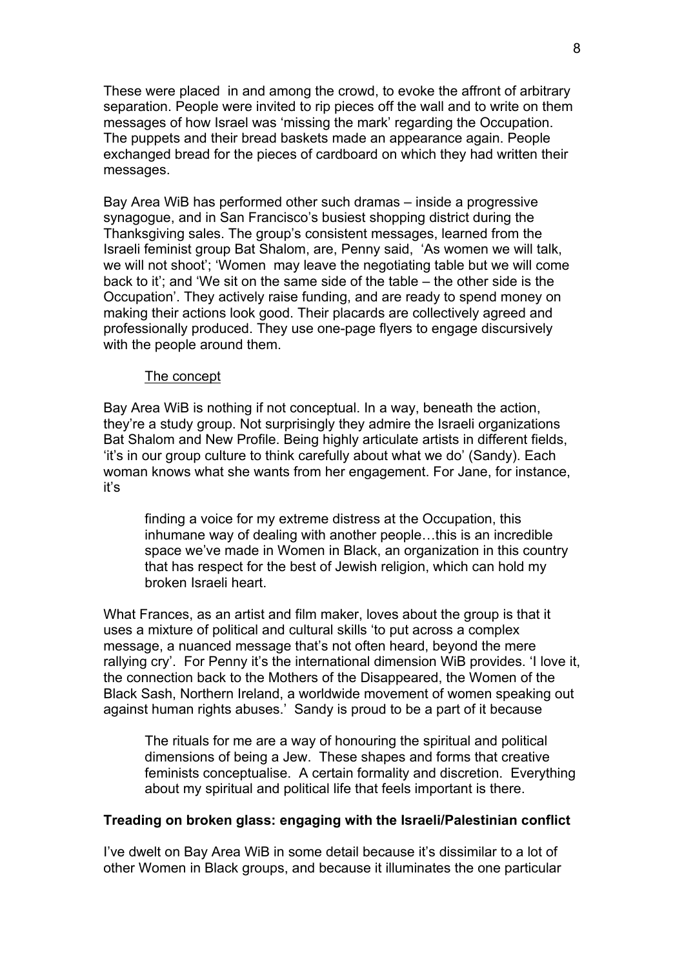These were placed in and among the crowd, to evoke the affront of arbitrary separation. People were invited to rip pieces off the wall and to write on them messages of how Israel was 'missing the mark' regarding the Occupation. The puppets and their bread baskets made an appearance again. People exchanged bread for the pieces of cardboard on which they had written their messages.

Bay Area WiB has performed other such dramas – inside a progressive synagogue, and in San Francisco's busiest shopping district during the Thanksgiving sales. The group's consistent messages, learned from the Israeli feminist group Bat Shalom, are, Penny said, 'As women we will talk, we will not shoot'; 'Women may leave the negotiating table but we will come back to it'; and 'We sit on the same side of the table – the other side is the Occupation'. They actively raise funding, and are ready to spend money on making their actions look good. Their placards are collectively agreed and professionally produced. They use one-page flyers to engage discursively with the people around them.

### The concept

Bay Area WiB is nothing if not conceptual. In a way, beneath the action, they're a study group. Not surprisingly they admire the Israeli organizations Bat Shalom and New Profile. Being highly articulate artists in different fields, 'it's in our group culture to think carefully about what we do' (Sandy). Each woman knows what she wants from her engagement. For Jane, for instance, it's

finding a voice for my extreme distress at the Occupation, this inhumane way of dealing with another people…this is an incredible space we've made in Women in Black, an organization in this country that has respect for the best of Jewish religion, which can hold my broken Israeli heart.

What Frances, as an artist and film maker, loves about the group is that it uses a mixture of political and cultural skills 'to put across a complex message, a nuanced message that's not often heard, beyond the mere rallying cry'. For Penny it's the international dimension WiB provides. 'I love it, the connection back to the Mothers of the Disappeared, the Women of the Black Sash, Northern Ireland, a worldwide movement of women speaking out against human rights abuses.' Sandy is proud to be a part of it because

The rituals for me are a way of honouring the spiritual and political dimensions of being a Jew. These shapes and forms that creative feminists conceptualise. A certain formality and discretion. Everything about my spiritual and political life that feels important is there.

#### **Treading on broken glass: engaging with the Israeli/Palestinian conflict**

I've dwelt on Bay Area WiB in some detail because it's dissimilar to a lot of other Women in Black groups, and because it illuminates the one particular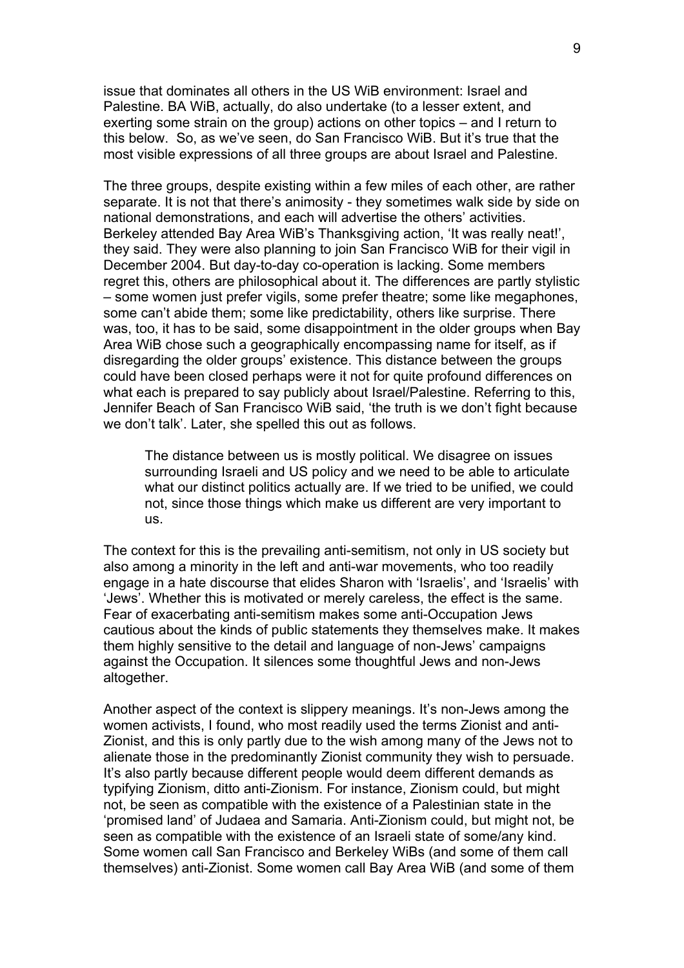issue that dominates all others in the US WiB environment: Israel and Palestine. BA WiB, actually, do also undertake (to a lesser extent, and exerting some strain on the group) actions on other topics – and I return to this below. So, as we've seen, do San Francisco WiB. But it's true that the most visible expressions of all three groups are about Israel and Palestine.

The three groups, despite existing within a few miles of each other, are rather separate. It is not that there's animosity - they sometimes walk side by side on national demonstrations, and each will advertise the others' activities. Berkeley attended Bay Area WiB's Thanksgiving action, 'It was really neat!', they said. They were also planning to join San Francisco WiB for their vigil in December 2004. But day-to-day co-operation is lacking. Some members regret this, others are philosophical about it. The differences are partly stylistic – some women just prefer vigils, some prefer theatre; some like megaphones, some can't abide them; some like predictability, others like surprise. There was, too, it has to be said, some disappointment in the older groups when Bay Area WiB chose such a geographically encompassing name for itself, as if disregarding the older groups' existence. This distance between the groups could have been closed perhaps were it not for quite profound differences on what each is prepared to say publicly about Israel/Palestine. Referring to this, Jennifer Beach of San Francisco WiB said, 'the truth is we don't fight because we don't talk'. Later, she spelled this out as follows.

The distance between us is mostly political. We disagree on issues surrounding Israeli and US policy and we need to be able to articulate what our distinct politics actually are. If we tried to be unified, we could not, since those things which make us different are very important to us.

The context for this is the prevailing anti-semitism, not only in US society but also among a minority in the left and anti-war movements, who too readily engage in a hate discourse that elides Sharon with 'Israelis', and 'Israelis' with 'Jews'. Whether this is motivated or merely careless, the effect is the same. Fear of exacerbating anti-semitism makes some anti-Occupation Jews cautious about the kinds of public statements they themselves make. It makes them highly sensitive to the detail and language of non-Jews' campaigns against the Occupation. It silences some thoughtful Jews and non-Jews altogether.

Another aspect of the context is slippery meanings. It's non-Jews among the women activists, I found, who most readily used the terms Zionist and anti-Zionist, and this is only partly due to the wish among many of the Jews not to alienate those in the predominantly Zionist community they wish to persuade. It's also partly because different people would deem different demands as typifying Zionism, ditto anti-Zionism. For instance, Zionism could, but might not, be seen as compatible with the existence of a Palestinian state in the 'promised land' of Judaea and Samaria. Anti-Zionism could, but might not, be seen as compatible with the existence of an Israeli state of some/any kind. Some women call San Francisco and Berkeley WiBs (and some of them call themselves) anti-Zionist. Some women call Bay Area WiB (and some of them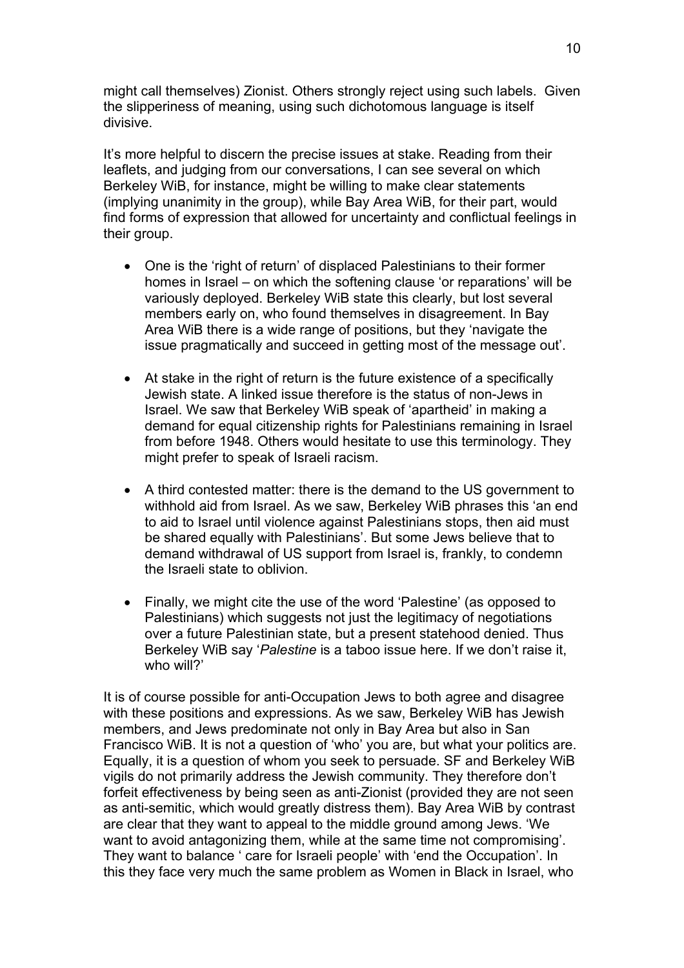might call themselves) Zionist. Others strongly reject using such labels. Given the slipperiness of meaning, using such dichotomous language is itself divisive.

It's more helpful to discern the precise issues at stake. Reading from their leaflets, and judging from our conversations, I can see several on which Berkeley WiB, for instance, might be willing to make clear statements (implying unanimity in the group), while Bay Area WiB, for their part, would find forms of expression that allowed for uncertainty and conflictual feelings in their group.

- One is the 'right of return' of displaced Palestinians to their former homes in Israel – on which the softening clause 'or reparations' will be variously deployed. Berkeley WiB state this clearly, but lost several members early on, who found themselves in disagreement. In Bay Area WiB there is a wide range of positions, but they 'navigate the issue pragmatically and succeed in getting most of the message out'.
- At stake in the right of return is the future existence of a specifically Jewish state. A linked issue therefore is the status of non-Jews in Israel. We saw that Berkeley WiB speak of 'apartheid' in making a demand for equal citizenship rights for Palestinians remaining in Israel from before 1948. Others would hesitate to use this terminology. They might prefer to speak of Israeli racism.
- A third contested matter: there is the demand to the US government to withhold aid from Israel. As we saw, Berkeley WiB phrases this 'an end to aid to Israel until violence against Palestinians stops, then aid must be shared equally with Palestinians'. But some Jews believe that to demand withdrawal of US support from Israel is, frankly, to condemn the Israeli state to oblivion.
- Finally, we might cite the use of the word 'Palestine' (as opposed to Palestinians) which suggests not just the legitimacy of negotiations over a future Palestinian state, but a present statehood denied. Thus Berkeley WiB say '*Palestine* is a taboo issue here. If we don't raise it, who will?'

It is of course possible for anti-Occupation Jews to both agree and disagree with these positions and expressions. As we saw, Berkeley WiB has Jewish members, and Jews predominate not only in Bay Area but also in San Francisco WiB. It is not a question of 'who' you are, but what your politics are. Equally, it is a question of whom you seek to persuade. SF and Berkeley WiB vigils do not primarily address the Jewish community. They therefore don't forfeit effectiveness by being seen as anti-Zionist (provided they are not seen as anti-semitic, which would greatly distress them). Bay Area WiB by contrast are clear that they want to appeal to the middle ground among Jews. 'We want to avoid antagonizing them, while at the same time not compromising'. They want to balance ' care for Israeli people' with 'end the Occupation'. In this they face very much the same problem as Women in Black in Israel, who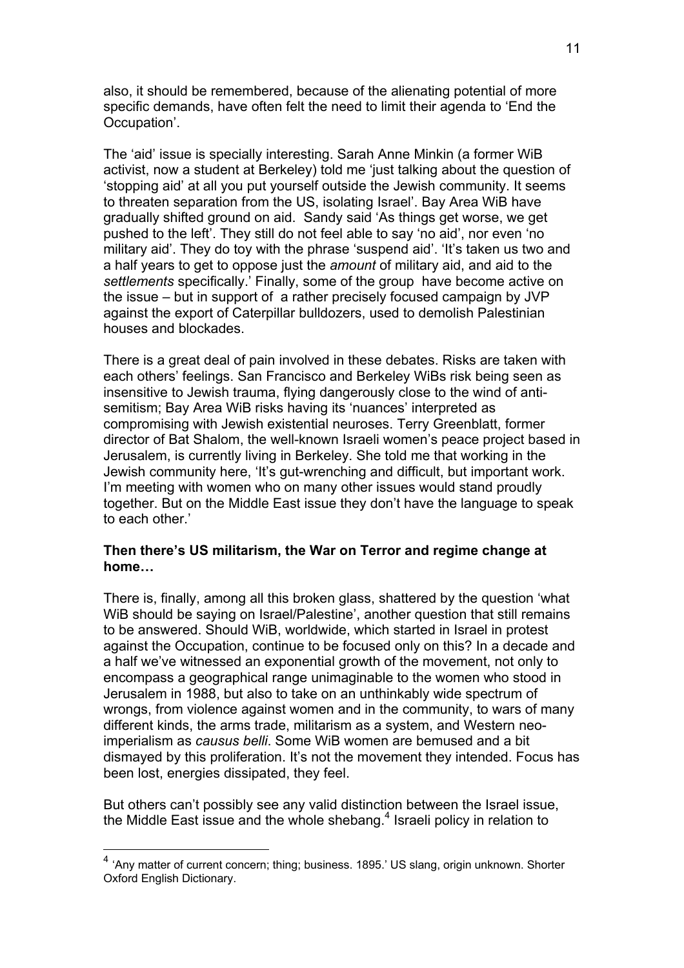also, it should be remembered, because of the alienating potential of more specific demands, have often felt the need to limit their agenda to 'End the Occupation'.

The 'aid' issue is specially interesting. Sarah Anne Minkin (a former WiB activist, now a student at Berkeley) told me 'just talking about the question of 'stopping aid' at all you put yourself outside the Jewish community. It seems to threaten separation from the US, isolating Israel'. Bay Area WiB have gradually shifted ground on aid. Sandy said 'As things get worse, we get pushed to the left'. They still do not feel able to say 'no aid', nor even 'no military aid'. They do toy with the phrase 'suspend aid'. 'It's taken us two and a half years to get to oppose just the *amount* of military aid, and aid to the *settlements* specifically.' Finally, some of the group have become active on the issue – but in support of a rather precisely focused campaign by JVP against the export of Caterpillar bulldozers, used to demolish Palestinian houses and blockades.

There is a great deal of pain involved in these debates. Risks are taken with each others' feelings. San Francisco and Berkeley WiBs risk being seen as insensitive to Jewish trauma, flying dangerously close to the wind of antisemitism; Bay Area WiB risks having its 'nuances' interpreted as compromising with Jewish existential neuroses. Terry Greenblatt, former director of Bat Shalom, the well-known Israeli women's peace project based in Jerusalem, is currently living in Berkeley. She told me that working in the Jewish community here, 'It's gut-wrenching and difficult, but important work. I'm meeting with women who on many other issues would stand proudly together. But on the Middle East issue they don't have the language to speak to each other.'

## **Then there's US militarism, the War on Terror and regime change at home…**

There is, finally, among all this broken glass, shattered by the question 'what WiB should be saying on Israel/Palestine', another question that still remains to be answered. Should WiB, worldwide, which started in Israel in protest against the Occupation, continue to be focused only on this? In a decade and a half we've witnessed an exponential growth of the movement, not only to encompass a geographical range unimaginable to the women who stood in Jerusalem in 1988, but also to take on an unthinkably wide spectrum of wrongs, from violence against women and in the community, to wars of many different kinds, the arms trade, militarism as a system, and Western neoimperialism as *causus belli*. Some WiB women are bemused and a bit dismayed by this proliferation. It's not the movement they intended. Focus has been lost, energies dissipated, they feel.

But others can't possibly see any valid distinction between the Israel issue, the Middle East issue and the whole shebang. $4$  Israeli policy in relation to

 $\overline{a}$ 

<span id="page-10-0"></span><sup>&</sup>lt;sup>4</sup> 'Anv matter of current concern; thing; business. 1895.' US slang, origin unknown. Shorter Oxford English Dictionary.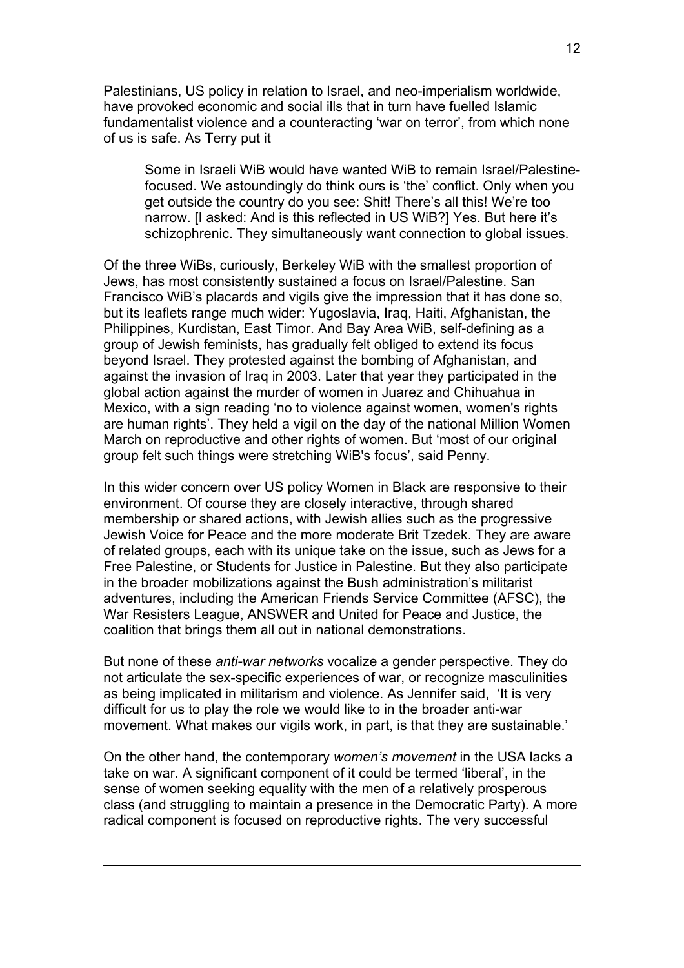Palestinians, US policy in relation to Israel, and neo-imperialism worldwide, have provoked economic and social ills that in turn have fuelled Islamic fundamentalist violence and a counteracting 'war on terror', from which none of us is safe. As Terry put it

Some in Israeli WiB would have wanted WiB to remain Israel/Palestinefocused. We astoundingly do think ours is 'the' conflict. Only when you get outside the country do you see: Shit! There's all this! We're too narrow. [I asked: And is this reflected in US WiB?] Yes. But here it's schizophrenic. They simultaneously want connection to global issues.

Of the three WiBs, curiously, Berkeley WiB with the smallest proportion of Jews, has most consistently sustained a focus on Israel/Palestine. San Francisco WiB's placards and vigils give the impression that it has done so, but its leaflets range much wider: Yugoslavia, Iraq, Haiti, Afghanistan, the Philippines, Kurdistan, East Timor. And Bay Area WiB, self-defining as a group of Jewish feminists, has gradually felt obliged to extend its focus beyond Israel. They protested against the bombing of Afghanistan, and against the invasion of Iraq in 2003. Later that year they participated in the global action against the murder of women in Juarez and Chihuahua in Mexico, with a sign reading 'no to violence against women, women's rights are human rights'. They held a vigil on the day of the national Million Women March on reproductive and other rights of women. But 'most of our original group felt such things were stretching WiB's focus', said Penny.

In this wider concern over US policy Women in Black are responsive to their environment. Of course they are closely interactive, through shared membership or shared actions, with Jewish allies such as the progressive Jewish Voice for Peace and the more moderate Brit Tzedek. They are aware of related groups, each with its unique take on the issue, such as Jews for a Free Palestine, or Students for Justice in Palestine. But they also participate in the broader mobilizations against the Bush administration's militarist adventures, including the American Friends Service Committee (AFSC), the War Resisters League, ANSWER and United for Peace and Justice, the coalition that brings them all out in national demonstrations.

But none of these *anti-war networks* vocalize a gender perspective. They do not articulate the sex-specific experiences of war, or recognize masculinities as being implicated in militarism and violence. As Jennifer said, 'It is very difficult for us to play the role we would like to in the broader anti-war movement. What makes our vigils work, in part, is that they are sustainable.'

On the other hand, the contemporary *women's movement* in the USA lacks a take on war. A significant component of it could be termed 'liberal', in the sense of women seeking equality with the men of a relatively prosperous class (and struggling to maintain a presence in the Democratic Party). A more radical component is focused on reproductive rights. The very successful

 $\overline{a}$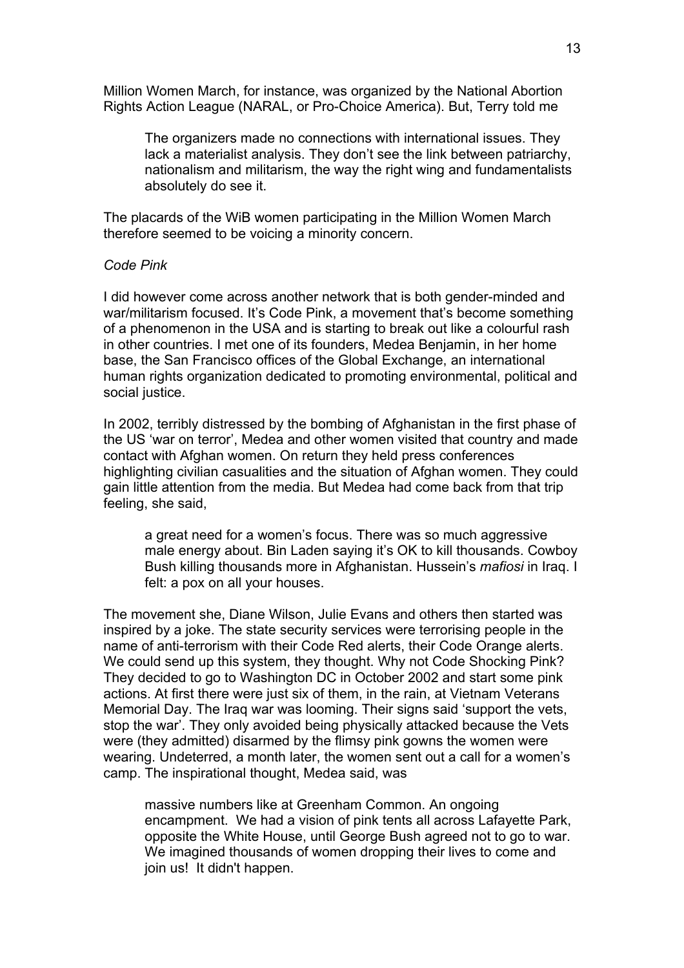Million Women March, for instance, was organized by the National Abortion Rights Action League (NARAL, or Pro-Choice America). But, Terry told me

The organizers made no connections with international issues. They lack a materialist analysis. They don't see the link between patriarchy, nationalism and militarism, the way the right wing and fundamentalists absolutely do see it.

The placards of the WiB women participating in the Million Women March therefore seemed to be voicing a minority concern.

#### *Code Pink*

I did however come across another network that is both gender-minded and war/militarism focused. It's Code Pink, a movement that's become something of a phenomenon in the USA and is starting to break out like a colourful rash in other countries. I met one of its founders, Medea Benjamin, in her home base, the San Francisco offices of the Global Exchange, an international human rights organization dedicated to promoting environmental, political and social justice.

In 2002, terribly distressed by the bombing of Afghanistan in the first phase of the US 'war on terror', Medea and other women visited that country and made contact with Afghan women. On return they held press conferences highlighting civilian casualities and the situation of Afghan women. They could gain little attention from the media. But Medea had come back from that trip feeling, she said,

a great need for a women's focus. There was so much aggressive male energy about. Bin Laden saying it's OK to kill thousands. Cowboy Bush killing thousands more in Afghanistan. Hussein's *mafiosi* in Iraq. I felt: a pox on all your houses.

The movement she, Diane Wilson, Julie Evans and others then started was inspired by a joke. The state security services were terrorising people in the name of anti-terrorism with their Code Red alerts, their Code Orange alerts. We could send up this system, they thought. Why not Code Shocking Pink? They decided to go to Washington DC in October 2002 and start some pink actions. At first there were just six of them, in the rain, at Vietnam Veterans Memorial Day. The Iraq war was looming. Their signs said 'support the vets, stop the war'. They only avoided being physically attacked because the Vets were (they admitted) disarmed by the flimsy pink gowns the women were wearing. Undeterred, a month later, the women sent out a call for a women's camp. The inspirational thought, Medea said, was

massive numbers like at Greenham Common. An ongoing encampment. We had a vision of pink tents all across Lafayette Park, opposite the White House, until George Bush agreed not to go to war. We imagined thousands of women dropping their lives to come and join us! It didn't happen.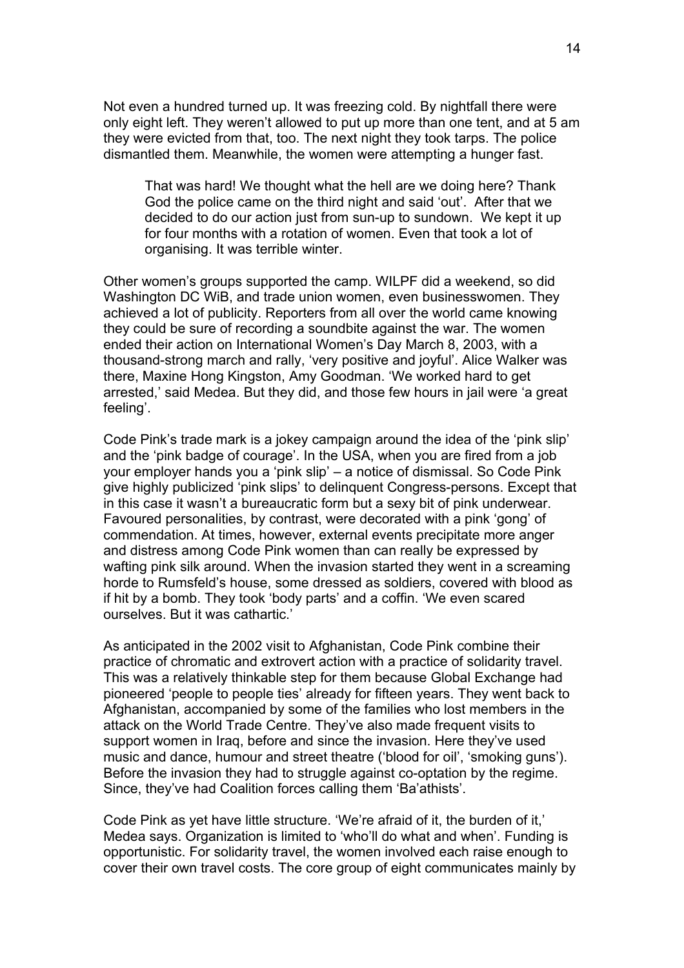Not even a hundred turned up. It was freezing cold. By nightfall there were only eight left. They weren't allowed to put up more than one tent, and at 5 am they were evicted from that, too. The next night they took tarps. The police dismantled them. Meanwhile, the women were attempting a hunger fast.

That was hard! We thought what the hell are we doing here? Thank God the police came on the third night and said 'out'. After that we decided to do our action just from sun-up to sundown. We kept it up for four months with a rotation of women. Even that took a lot of organising. It was terrible winter.

Other women's groups supported the camp. WILPF did a weekend, so did Washington DC WiB, and trade union women, even businesswomen. They achieved a lot of publicity. Reporters from all over the world came knowing they could be sure of recording a soundbite against the war. The women ended their action on International Women's Day March 8, 2003, with a thousand-strong march and rally, 'very positive and joyful'. Alice Walker was there, Maxine Hong Kingston, Amy Goodman. 'We worked hard to get arrested,' said Medea. But they did, and those few hours in jail were 'a great feeling'.

Code Pink's trade mark is a jokey campaign around the idea of the 'pink slip' and the 'pink badge of courage'. In the USA, when you are fired from a job your employer hands you a 'pink slip' – a notice of dismissal. So Code Pink give highly publicized 'pink slips' to delinquent Congress-persons. Except that in this case it wasn't a bureaucratic form but a sexy bit of pink underwear. Favoured personalities, by contrast, were decorated with a pink 'gong' of commendation. At times, however, external events precipitate more anger and distress among Code Pink women than can really be expressed by wafting pink silk around. When the invasion started they went in a screaming horde to Rumsfeld's house, some dressed as soldiers, covered with blood as if hit by a bomb. They took 'body parts' and a coffin. 'We even scared ourselves. But it was cathartic.'

As anticipated in the 2002 visit to Afghanistan, Code Pink combine their practice of chromatic and extrovert action with a practice of solidarity travel. This was a relatively thinkable step for them because Global Exchange had pioneered 'people to people ties' already for fifteen years. They went back to Afghanistan, accompanied by some of the families who lost members in the attack on the World Trade Centre. They've also made frequent visits to support women in Iraq, before and since the invasion. Here they've used music and dance, humour and street theatre ('blood for oil', 'smoking guns'). Before the invasion they had to struggle against co-optation by the regime. Since, they've had Coalition forces calling them 'Ba'athists'.

Code Pink as yet have little structure. 'We're afraid of it, the burden of it,' Medea says. Organization is limited to 'who'll do what and when'. Funding is opportunistic. For solidarity travel, the women involved each raise enough to cover their own travel costs. The core group of eight communicates mainly by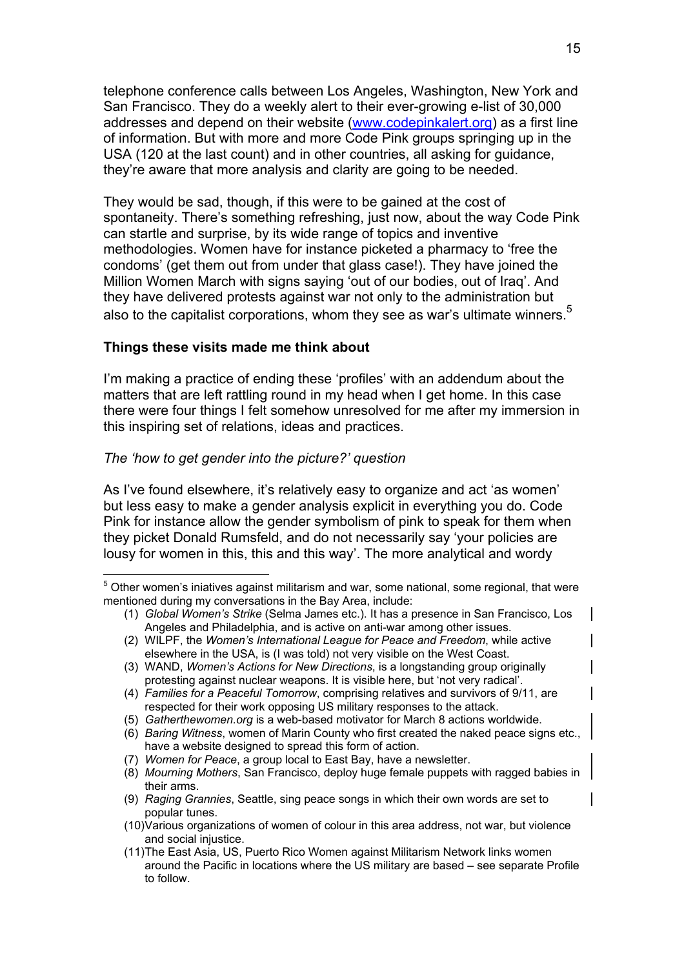telephone conference calls between Los Angeles, Washington, New York and San Francisco. They do a weekly alert to their ever-growing e-list of 30,000 addresses and depend on their website ([www.codepinkalert.org](http://www.codepinkalert.org/)) as a first line of information. But with more and more Code Pink groups springing up in the USA (120 at the last count) and in other countries, all asking for guidance, they're aware that more analysis and clarity are going to be needed.

They would be sad, though, if this were to be gained at the cost of spontaneity. There's something refreshing, just now, about the way Code Pink can startle and surprise, by its wide range of topics and inventive methodologies. Women have for instance picketed a pharmacy to 'free the condoms' (get them out from under that glass case!). They have joined the Million Women March with signs saying 'out of our bodies, out of Iraq'. And they have delivered protests against war not only to the administration but also to the capitalist corporations, whom they see as war's ultimate winners.<sup>[5](#page-14-0)</sup>

## **Things these visits made me think about**

I'm making a practice of ending these 'profiles' with an addendum about the matters that are left rattling round in my head when I get home. In this case there were four things I felt somehow unresolved for me after my immersion in this inspiring set of relations, ideas and practices.

## *The 'how to get gender into the picture?' question*

 $\overline{a}$ 

As I've found elsewhere, it's relatively easy to organize and act 'as women' but less easy to make a gender analysis explicit in everything you do. Code Pink for instance allow the gender symbolism of pink to speak for them when they picket Donald Rumsfeld, and do not necessarily say 'your policies are lousy for women in this, this and this way'. The more analytical and wordy

<span id="page-14-0"></span> $5$  Other women's iniatives against militarism and war, some national, some regional, that were mentioned during my conversations in the Bay Area, include:

<sup>(1)</sup> Global Women's Strike (Selma James etc.). It has a presence in San Francisco, Los Angeles and Philadelphia, and is active on anti-war among other issues.

<sup>(2)</sup> WILPF, the *Women's International League for Peace and Freedom*, while active elsewhere in the USA, is (I was told) not very visible on the West Coast.

<sup>(3)</sup> WAND, *Women's Actions for New Directions*, is a longstanding group originally protesting against nuclear weapons. It is visible here, but 'not very radical'.

<sup>(4)</sup> *Families for a Peaceful Tomorrow*, comprising relatives and survivors of 9/11, are respected for their work opposing US military responses to the attack.

<sup>(5)</sup> *Gatherthewomen.org* is a web-based motivator for March 8 actions worldwide.

<sup>(6)</sup> *Baring Witness*, women of Marin County who first created the naked peace signs etc., have a website designed to spread this form of action.

<sup>(7)</sup> *Women for Peace*, a group local to East Bay, have a newsletter.

<sup>(8)</sup> *Mourning Mothers*, San Francisco, deploy huge female puppets with ragged babies in their arms.

<sup>(9)</sup> *Raging Grannies*, Seattle, sing peace songs in which their own words are set to popular tunes.

<sup>(10)</sup> Various organizations of women of colour in this area address, not war, but violence and social injustice.

<sup>(11)</sup> The East Asia, US, Puerto Rico Women against Militarism Network links women around the Pacific in locations where the US military are based – see separate Profile to follow.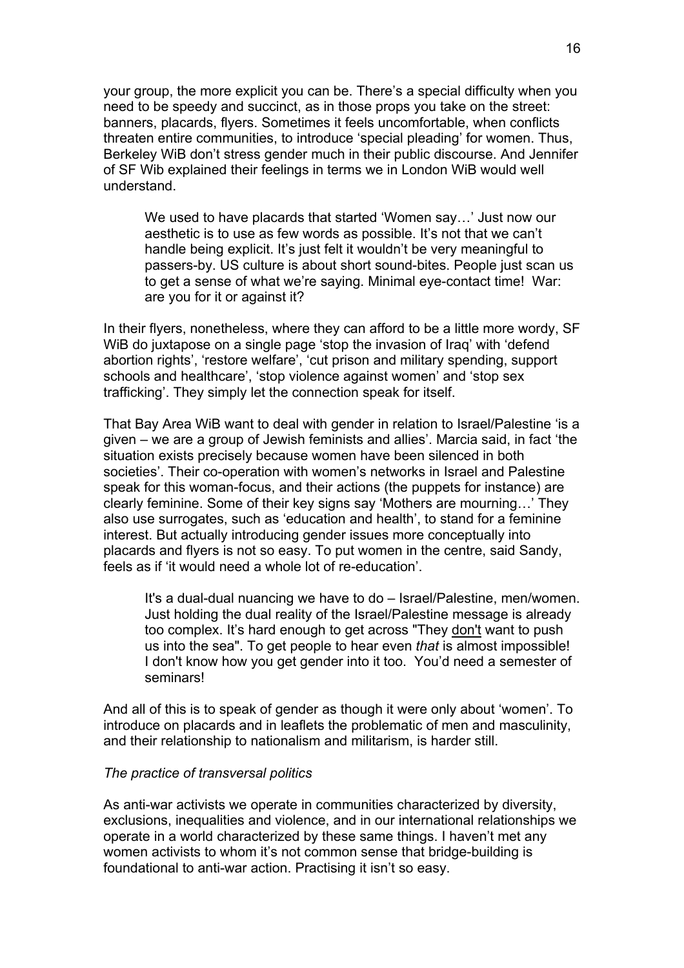your group, the more explicit you can be. There's a special difficulty when you need to be speedy and succinct, as in those props you take on the street: banners, placards, flyers. Sometimes it feels uncomfortable, when conflicts threaten entire communities, to introduce 'special pleading' for women. Thus, Berkeley WiB don't stress gender much in their public discourse. And Jennifer of SF Wib explained their feelings in terms we in London WiB would well understand.

We used to have placards that started 'Women say…' Just now our aesthetic is to use as few words as possible. It's not that we can't handle being explicit. It's just felt it wouldn't be very meaningful to passers-by. US culture is about short sound-bites. People just scan us to get a sense of what we're saying. Minimal eye-contact time! War: are you for it or against it?

In their flyers, nonetheless, where they can afford to be a little more wordy, SF WiB do juxtapose on a single page 'stop the invasion of Iraq' with 'defend abortion rights', 'restore welfare', 'cut prison and military spending, support schools and healthcare', 'stop violence against women' and 'stop sex trafficking'. They simply let the connection speak for itself.

That Bay Area WiB want to deal with gender in relation to Israel/Palestine 'is a given – we are a group of Jewish feminists and allies'. Marcia said, in fact 'the situation exists precisely because women have been silenced in both societies'. Their co-operation with women's networks in Israel and Palestine speak for this woman-focus, and their actions (the puppets for instance) are clearly feminine. Some of their key signs say 'Mothers are mourning…' They also use surrogates, such as 'education and health', to stand for a feminine interest. But actually introducing gender issues more conceptually into placards and flyers is not so easy. To put women in the centre, said Sandy, feels as if 'it would need a whole lot of re-education'.

It's a dual-dual nuancing we have to do – Israel/Palestine, men/women. Just holding the dual reality of the Israel/Palestine message is already too complex. It's hard enough to get across "They don't want to push us into the sea". To get people to hear even *that* is almost impossible! I don't know how you get gender into it too. You'd need a semester of seminars!

And all of this is to speak of gender as though it were only about 'women'. To introduce on placards and in leaflets the problematic of men and masculinity, and their relationship to nationalism and militarism, is harder still.

## *The practice of transversal politics*

As anti-war activists we operate in communities characterized by diversity, exclusions, inequalities and violence, and in our international relationships we operate in a world characterized by these same things. I haven't met any women activists to whom it's not common sense that bridge-building is foundational to anti-war action. Practising it isn't so easy.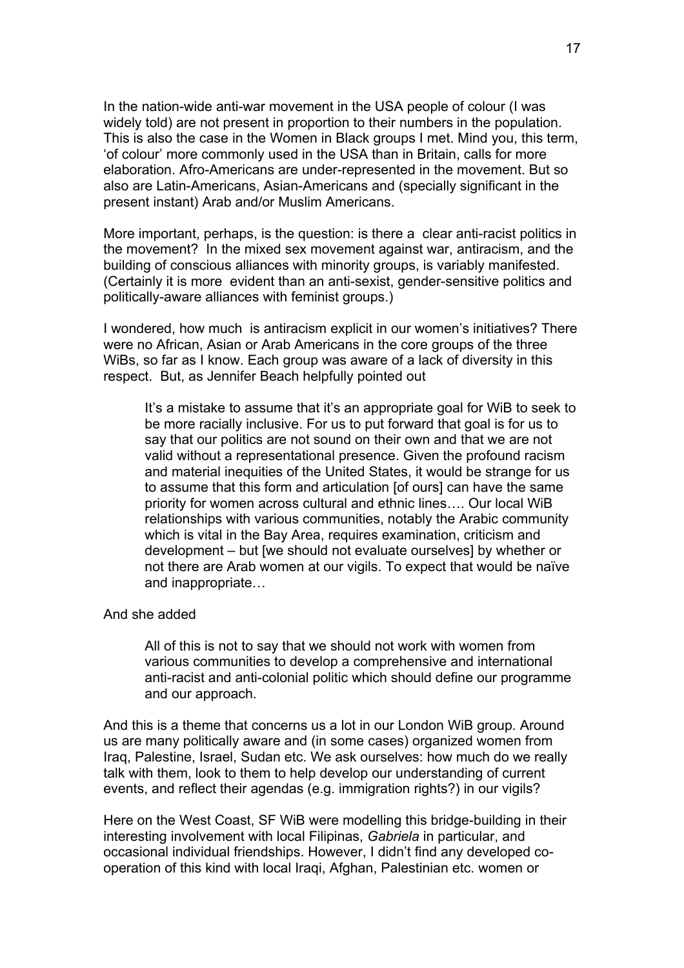In the nation-wide anti-war movement in the USA people of colour (I was widely told) are not present in proportion to their numbers in the population. This is also the case in the Women in Black groups I met. Mind you, this term, 'of colour' more commonly used in the USA than in Britain, calls for more elaboration. Afro-Americans are under-represented in the movement. But so also are Latin-Americans, Asian-Americans and (specially significant in the present instant) Arab and/or Muslim Americans.

More important, perhaps, is the question: is there a clear anti-racist politics in the movement? In the mixed sex movement against war, antiracism, and the building of conscious alliances with minority groups, is variably manifested. (Certainly it is more evident than an anti-sexist, gender-sensitive politics and politically-aware alliances with feminist groups.)

I wondered, how much is antiracism explicit in our women's initiatives? There were no African, Asian or Arab Americans in the core groups of the three WiBs, so far as I know. Each group was aware of a lack of diversity in this respect. But, as Jennifer Beach helpfully pointed out

It's a mistake to assume that it's an appropriate goal for WiB to seek to be more racially inclusive. For us to put forward that goal is for us to say that our politics are not sound on their own and that we are not valid without a representational presence. Given the profound racism and material inequities of the United States, it would be strange for us to assume that this form and articulation [of ours] can have the same priority for women across cultural and ethnic lines…. Our local WiB relationships with various communities, notably the Arabic community which is vital in the Bay Area, requires examination, criticism and development – but [we should not evaluate ourselves] by whether or not there are Arab women at our vigils. To expect that would be naïve and inappropriate…

### And she added

All of this is not to say that we should not work with women from various communities to develop a comprehensive and international anti-racist and anti-colonial politic which should define our programme and our approach.

And this is a theme that concerns us a lot in our London WiB group. Around us are many politically aware and (in some cases) organized women from Iraq, Palestine, Israel, Sudan etc. We ask ourselves: how much do we really talk with them, look to them to help develop our understanding of current events, and reflect their agendas (e.g. immigration rights?) in our vigils?

Here on the West Coast, SF WiB were modelling this bridge-building in their interesting involvement with local Filipinas, *Gabriela* in particular, and occasional individual friendships. However, I didn't find any developed cooperation of this kind with local Iraqi, Afghan, Palestinian etc. women or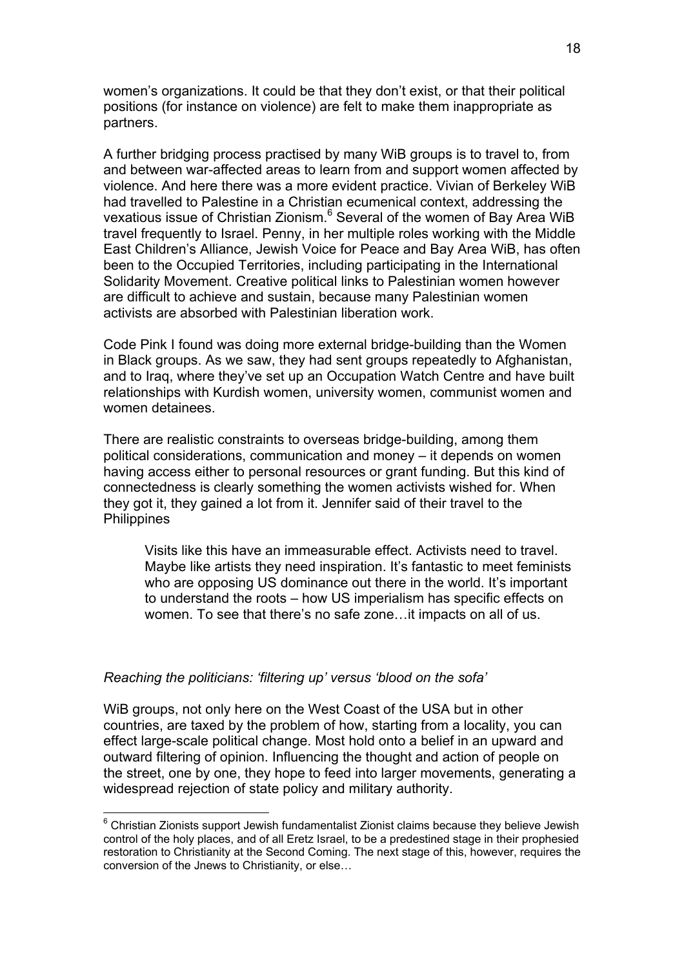women's organizations. It could be that they don't exist, or that their political positions (for instance on violence) are felt to make them inappropriate as partners.

A further bridging process practised by many WiB groups is to travel to, from and between war-affected areas to learn from and support women affected by violence. And here there was a more evident practice. Vivian of Berkeley WiB had travelled to Palestine in a Christian ecumenical context, addressing the vexatious issue of Christian Zionism.<sup>[6](#page-17-0)</sup> Several of the women of Bay Area WiB travel frequently to Israel. Penny, in her multiple roles working with the Middle East Children's Alliance, Jewish Voice for Peace and Bay Area WiB, has often been to the Occupied Territories, including participating in the International Solidarity Movement. Creative political links to Palestinian women however are difficult to achieve and sustain, because many Palestinian women activists are absorbed with Palestinian liberation work.

Code Pink I found was doing more external bridge-building than the Women in Black groups. As we saw, they had sent groups repeatedly to Afghanistan, and to Iraq, where they've set up an Occupation Watch Centre and have built relationships with Kurdish women, university women, communist women and women detainees.

There are realistic constraints to overseas bridge-building, among them political considerations, communication and money – it depends on women having access either to personal resources or grant funding. But this kind of connectedness is clearly something the women activists wished for. When they got it, they gained a lot from it. Jennifer said of their travel to the **Philippines** 

Visits like this have an immeasurable effect. Activists need to travel. Maybe like artists they need inspiration. It's fantastic to meet feminists who are opposing US dominance out there in the world. It's important to understand the roots – how US imperialism has specific effects on women. To see that there's no safe zone…it impacts on all of us.

### *Reaching the politicians: 'filtering up' versus 'blood on the sofa'*

 $\overline{a}$ 

WiB groups, not only here on the West Coast of the USA but in other countries, are taxed by the problem of how, starting from a locality, you can effect large-scale political change. Most hold onto a belief in an upward and outward filtering of opinion. Influencing the thought and action of people on the street, one by one, they hope to feed into larger movements, generating a widespread rejection of state policy and military authority.

<span id="page-17-0"></span> $^6$  Christian Zionists support Jewish fundamentalist Zionist claims because they believe Jewish control of the holy places, and of all Eretz Israel, to be a predestined stage in their prophesied restoration to Christianity at the Second Coming. The next stage of this, however, requires the conversion of the Jnews to Christianity, or else…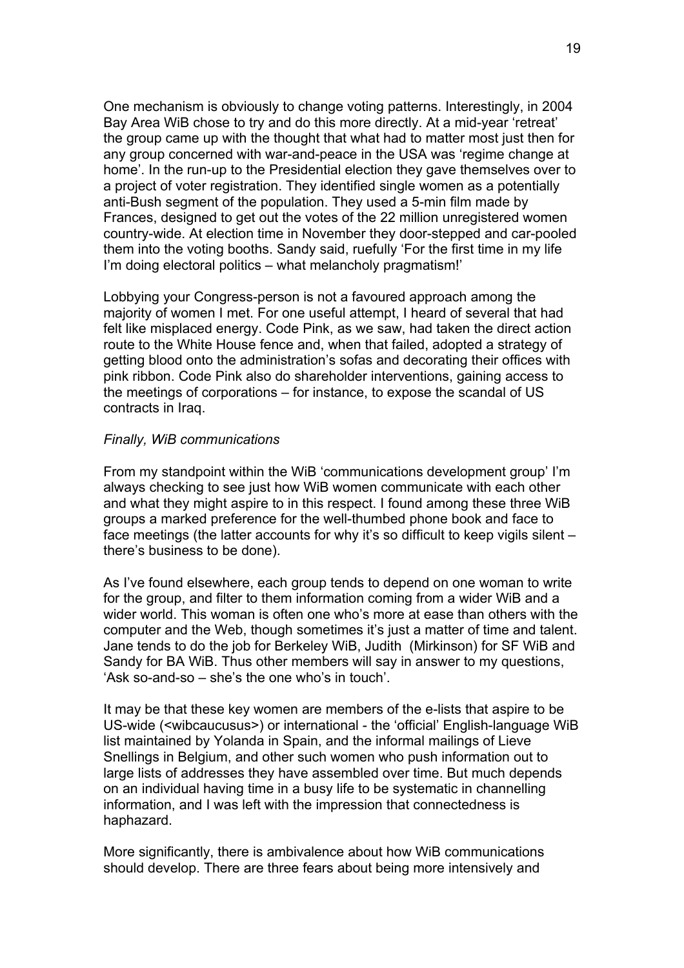One mechanism is obviously to change voting patterns. Interestingly, in 2004 Bay Area WiB chose to try and do this more directly. At a mid-year 'retreat' the group came up with the thought that what had to matter most just then for any group concerned with war-and-peace in the USA was 'regime change at home'. In the run-up to the Presidential election they gave themselves over to a project of voter registration. They identified single women as a potentially anti-Bush segment of the population. They used a 5-min film made by Frances, designed to get out the votes of the 22 million unregistered women country-wide. At election time in November they door-stepped and car-pooled them into the voting booths. Sandy said, ruefully 'For the first time in my life I'm doing electoral politics – what melancholy pragmatism!'

Lobbying your Congress-person is not a favoured approach among the majority of women I met. For one useful attempt, I heard of several that had felt like misplaced energy. Code Pink, as we saw, had taken the direct action route to the White House fence and, when that failed, adopted a strategy of getting blood onto the administration's sofas and decorating their offices with pink ribbon. Code Pink also do shareholder interventions, gaining access to the meetings of corporations – for instance, to expose the scandal of US contracts in Iraq.

### *Finally, WiB communications*

From my standpoint within the WiB 'communications development group' I'm always checking to see just how WiB women communicate with each other and what they might aspire to in this respect. I found among these three WiB groups a marked preference for the well-thumbed phone book and face to face meetings (the latter accounts for why it's so difficult to keep vigils silent – there's business to be done).

As I've found elsewhere, each group tends to depend on one woman to write for the group, and filter to them information coming from a wider WiB and a wider world. This woman is often one who's more at ease than others with the computer and the Web, though sometimes it's just a matter of time and talent. Jane tends to do the job for Berkeley WiB, Judith (Mirkinson) for SF WiB and Sandy for BA WiB. Thus other members will say in answer to my questions, 'Ask so-and-so – she's the one who's in touch'.

It may be that these key women are members of the e-lists that aspire to be US-wide (<wibcaucusus>) or international - the 'official' English-language WiB list maintained by Yolanda in Spain, and the informal mailings of Lieve Snellings in Belgium, and other such women who push information out to large lists of addresses they have assembled over time. But much depends on an individual having time in a busy life to be systematic in channelling information, and I was left with the impression that connectedness is haphazard.

More significantly, there is ambivalence about how WiB communications should develop. There are three fears about being more intensively and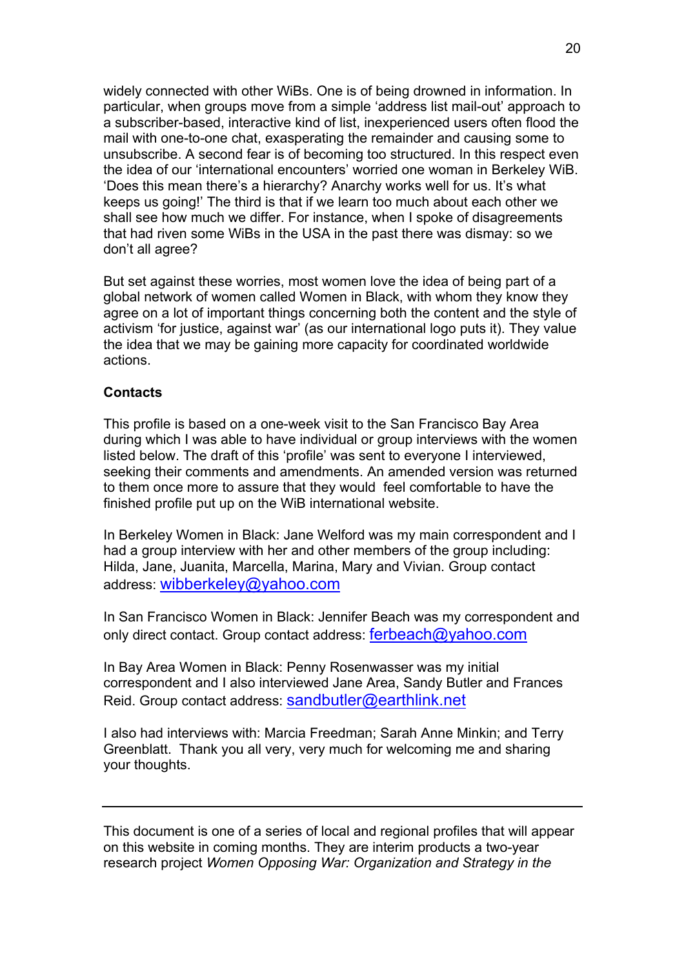widely connected with other WiBs. One is of being drowned in information. In particular, when groups move from a simple 'address list mail-out' approach to a subscriber-based, interactive kind of list, inexperienced users often flood the mail with one-to-one chat, exasperating the remainder and causing some to unsubscribe. A second fear is of becoming too structured. In this respect even the idea of our 'international encounters' worried one woman in Berkeley WiB. 'Does this mean there's a hierarchy? Anarchy works well for us. It's what keeps us going!' The third is that if we learn too much about each other we shall see how much we differ. For instance, when I spoke of disagreements that had riven some WiBs in the USA in the past there was dismay: so we don't all agree?

But set against these worries, most women love the idea of being part of a global network of women called Women in Black, with whom they know they agree on a lot of important things concerning both the content and the style of activism 'for justice, against war' (as our international logo puts it). They value the idea that we may be gaining more capacity for coordinated worldwide actions.

## **Contacts**

This profile is based on a one-week visit to the San Francisco Bay Area during which I was able to have individual or group interviews with the women listed below. The draft of this 'profile' was sent to everyone I interviewed, seeking their comments and amendments. An amended version was returned to them once more to assure that they would feel comfortable to have the finished profile put up on the WiB international website.

In Berkeley Women in Black: Jane Welford was my main correspondent and I had a group interview with her and other members of the group including: Hilda, Jane, Juanita, Marcella, Marina, Mary and Vivian. Group contact address: [wibberkeley@yahoo.com](mailto:wibberkeley@yahoo.com) 

In San Francisco Women in Black: Jennifer Beach was my correspondent and only direct contact. Group contact address: ferbeach@yahoo.com

In Bay Area Women in Black: Penny Rosenwasser was my initial correspondent and I also interviewed Jane Area, Sandy Butler and Frances Reid. Group contact address: [sandbutler@earthlink.net](mailto:sandbutler@earthlink.net)

I also had interviews with: Marcia Freedman; Sarah Anne Minkin; and Terry Greenblatt. Thank you all very, very much for welcoming me and sharing your thoughts.

This document is one of a series of local and regional profiles that will appear on this website in coming months. They are interim products a two-year research project *Women Opposing War: Organization and Strategy in the*